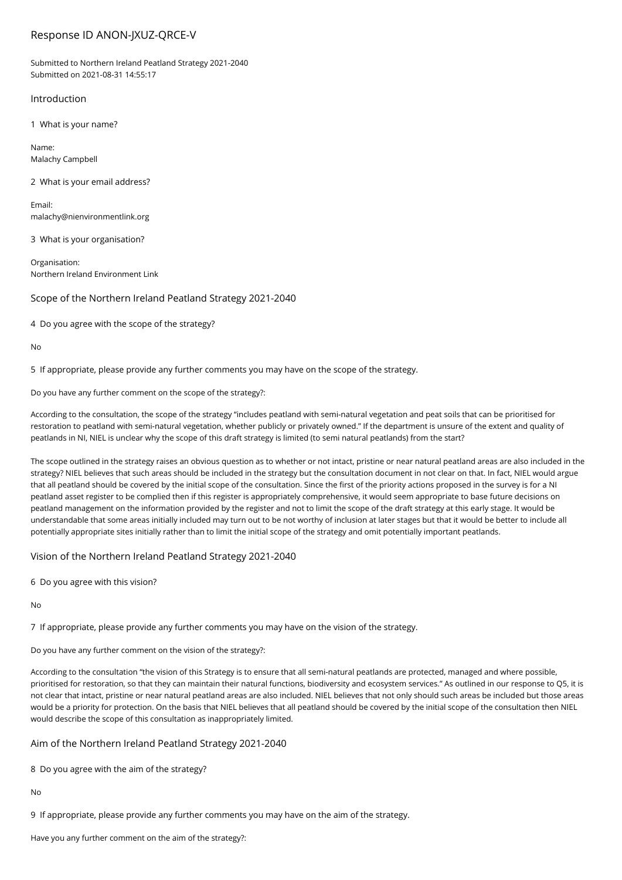# Response ID ANON-JXUZ-QRCE-V

Submitted to Northern Ireland Peatland Strategy 2021-2040 Submitted on 2021-08-31 14:55:17

# Introduction

1 What is your name?

Name: Malachy Campbell

2 What is your email address?

Email: malachy@nienvironmentlink.org

3 What is your organisation?

Organisation: Northern Ireland Environment Link

Scope of the Northern Ireland Peatland Strategy 2021-2040

4 Do you agree with the scope of the strategy?

No

5 If appropriate, please provide any further comments you may have on the scope of the strategy.

Do you have any further comment on the scope of the strategy?:

According to the consultation, the scope of the strategy "includes peatland with semi-natural vegetation and peat soils that can be prioritised for restoration to peatland with semi-natural vegetation, whether publicly or privately owned." If the department is unsure of the extent and quality of peatlands in NI, NIEL is unclear why the scope of this draft strategy is limited (to semi natural peatlands) from the start?

The scope outlined in the strategy raises an obvious question as to whether or not intact, pristine or near natural peatland areas are also included in the strategy? NIEL believes that such areas should be included in the strategy but the consultation document in not clear on that. In fact, NIEL would argue that all peatland should be covered by the initial scope of the consultation. Since the first of the priority actions proposed in the survey is for a NI peatland asset register to be complied then if this register is appropriately comprehensive, it would seem appropriate to base future decisions on peatland management on the information provided by the register and not to limit the scope of the draft strategy at this early stage. It would be understandable that some areas initially included may turn out to be not worthy of inclusion at later stages but that it would be better to include all potentially appropriate sites initially rather than to limit the initial scope of the strategy and omit potentially important peatlands.

Vision of the Northern Ireland Peatland Strategy 2021-2040

6 Do you agree with this vision?

No

7 If appropriate, please provide any further comments you may have on the vision of the strategy.

Do you have any further comment on the vision of the strategy?:

According to the consultation "the vision of this Strategy is to ensure that all semi-natural peatlands are protected, managed and where possible, prioritised for restoration, so that they can maintain their natural functions, biodiversity and ecosystem services." As outlined in our response to Q5, it is not clear that intact, pristine or near natural peatland areas are also included. NIEL believes that not only should such areas be included but those areas would be a priority for protection. On the basis that NIEL believes that all peatland should be covered by the initial scope of the consultation then NIEL would describe the scope of this consultation as inappropriately limited.

## Aim of the Northern Ireland Peatland Strategy 2021-2040

8 Do you agree with the aim of the strategy?

No

9 If appropriate, please provide any further comments you may have on the aim of the strategy.

Have you any further comment on the aim of the strategy?: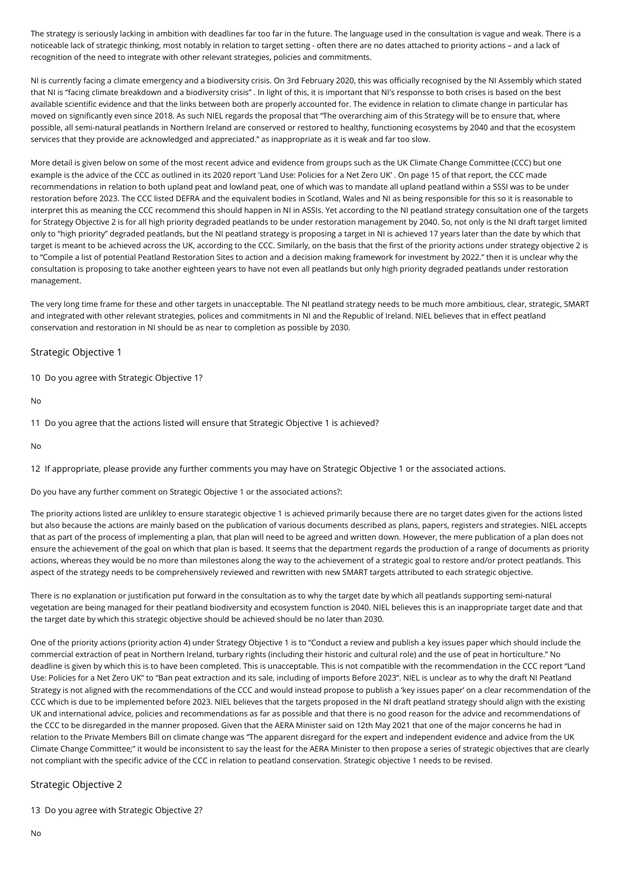The strategy is seriously lacking in ambition with deadlines far too far in the future. The language used in the consultation is vague and weak. There is a noticeable lack of strategic thinking, most notably in relation to target setting - often there are no dates attached to priority actions – and a lack of recognition of the need to integrate with other relevant strategies, policies and commitments.

NI is currently facing a climate emergency and a biodiversity crisis. On 3rd February 2020, this was officially recognised by the NI Assembly which stated that NI is "facing climate breakdown and a biodiversity crisis" . In light of this, it is important that NI's responsse to both crises is based on the best available scientific evidence and that the links between both are properly accounted for. The evidence in relation to climate change in particular has moved on significantly even since 2018. As such NIEL regards the proposal that "The overarching aim of this Strategy will be to ensure that, where possible, all semi-natural peatlands in Northern Ireland are conserved or restored to healthy, functioning ecosystems by 2040 and that the ecosystem services that they provide are acknowledged and appreciated." as inappropriate as it is weak and far too slow.

More detail is given below on some of the most recent advice and evidence from groups such as the UK Climate Change Committee (CCC) but one example is the advice of the CCC as outlined in its 2020 report 'Land Use: Policies for a Net Zero UK' . On page 15 of that report, the CCC made recommendations in relation to both upland peat and lowland peat, one of which was to mandate all upland peatland within a SSSI was to be under restoration before 2023. The CCC listed DEFRA and the equivalent bodies in Scotland, Wales and NI as being responsible for this so it is reasonable to interpret this as meaning the CCC recommend this should happen in NI in ASSIs. Yet according to the NI peatland strategy consultation one of the targets for Strategy Objective 2 is for all high priority degraded peatlands to be under restoration management by 2040. So, not only is the NI draft target limited only to "high priority" degraded peatlands, but the NI peatland strategy is proposing a target in NI is achieved 17 years later than the date by which that target is meant to be achieved across the UK, according to the CCC. Similarly, on the basis that the first of the priority actions under strategy objective 2 is to "Compile a list of potential Peatland Restoration Sites to action and a decision making framework for investment by 2022." then it is unclear why the consultation is proposing to take another eighteen years to have not even all peatlands but only high priority degraded peatlands under restoration management.

The very long time frame for these and other targets in unacceptable. The NI peatland strategy needs to be much more ambitious, clear, strategic, SMART and integrated with other relevant strategies, polices and commitments in NI and the Republic of Ireland. NIEL believes that in effect peatland conservation and restoration in NI should be as near to completion as possible by 2030.

# Strategic Objective 1

10 Do you agree with Strategic Objective 1?

No

11 Do you agree that the actions listed will ensure that Strategic Objective 1 is achieved?

No

12 If appropriate, please provide any further comments you may have on Strategic Objective 1 or the associated actions.

Do you have any further comment on Strategic Objective 1 or the associated actions?:

The priority actions listed are unlikley to ensure starategic objective 1 is achieved primarily because there are no target dates given for the actions listed but also because the actions are mainly based on the publication of various documents described as plans, papers, registers and strategies. NIEL accepts that as part of the process of implementing a plan, that plan will need to be agreed and written down. However, the mere publication of a plan does not ensure the achievement of the goal on which that plan is based. It seems that the department regards the production of a range of documents as priority actions, whereas they would be no more than milestones along the way to the achievement of a strategic goal to restore and/or protect peatlands. This aspect of the strategy needs to be comprehensively reviewed and rewritten with new SMART targets attributed to each strategic objective.

There is no explanation or justification put forward in the consultation as to why the target date by which all peatlands supporting semi-natural vegetation are being managed for their peatland biodiversity and ecosystem function is 2040. NIEL believes this is an inappropriate target date and that the target date by which this strategic objective should be achieved should be no later than 2030.

One of the priority actions (priority action 4) under Strategy Objective 1 is to "Conduct a review and publish a key issues paper which should include the commercial extraction of peat in Northern Ireland, turbary rights (including their historic and cultural role) and the use of peat in horticulture." No deadline is given by which this is to have been completed. This is unacceptable. This is not compatible with the recommendation in the CCC report "Land Use: Policies for a Net Zero UK" to "Ban peat extraction and its sale, including of imports Before 2023". NIEL is unclear as to why the draft NI Peatland Strategy is not aligned with the recommendations of the CCC and would instead propose to publish a 'key issues paper' on a clear recommendation of the CCC which is due to be implemented before 2023. NIEL believes that the targets proposed in the NI draft peatland strategy should align with the existing UK and international advice, policies and recommendations as far as possible and that there is no good reason for the advice and recommendations of the CCC to be disregarded in the manner proposed. Given that the AERA Minister said on 12th May 2021 that one of the major concerns he had in relation to the Private Members Bill on climate change was "The apparent disregard for the expert and independent evidence and advice from the UK Climate Change Committee;" it would be inconsistent to say the least for the AERA Minister to then propose a series of strategic objectives that are clearly not compliant with the specific advice of the CCC in relation to peatland conservation. Strategic objective 1 needs to be revised.

## Strategic Objective 2

13 Do you agree with Strategic Objective 2?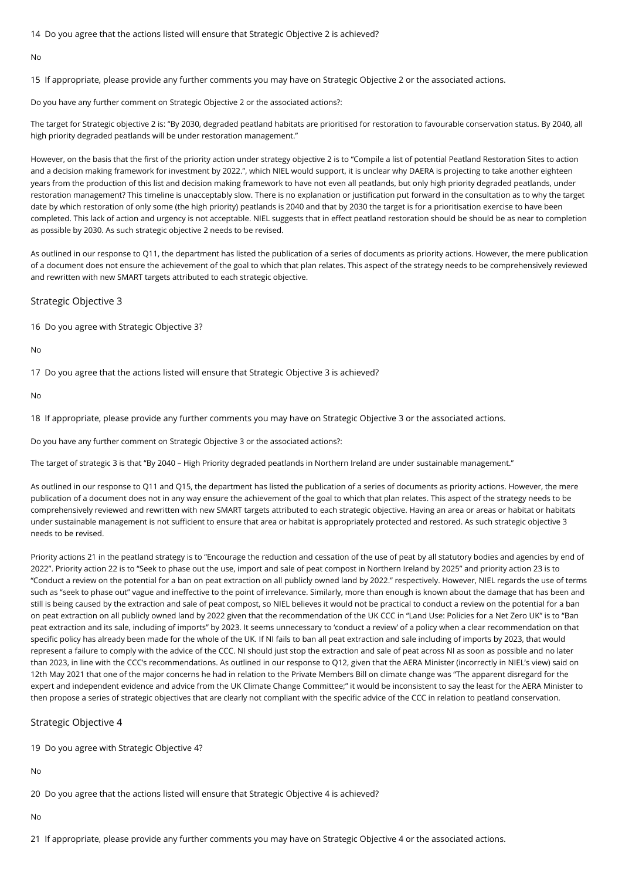14 Do you agree that the actions listed will ensure that Strategic Objective 2 is achieved?

No

15 If appropriate, please provide any further comments you may have on Strategic Objective 2 or the associated actions.

Do you have any further comment on Strategic Objective 2 or the associated actions?:

The target for Strategic objective 2 is: "By 2030, degraded peatland habitats are prioritised for restoration to favourable conservation status. By 2040, all high priority degraded peatlands will be under restoration management."

However, on the basis that the first of the priority action under strategy objective 2 is to "Compile a list of potential Peatland Restoration Sites to action and a decision making framework for investment by 2022.", which NIEL would support, it is unclear why DAERA is projecting to take another eighteen years from the production of this list and decision making framework to have not even all peatlands, but only high priority degraded peatlands, under restoration management? This timeline is unacceptably slow. There is no explanation or justification put forward in the consultation as to why the target date by which restoration of only some (the high priority) peatlands is 2040 and that by 2030 the target is for a prioritisation exercise to have been completed. This lack of action and urgency is not acceptable. NIEL suggests that in effect peatland restoration should be should be as near to completion as possible by 2030. As such strategic objective 2 needs to be revised.

As outlined in our response to Q11, the department has listed the publication of a series of documents as priority actions. However, the mere publication of a document does not ensure the achievement of the goal to which that plan relates. This aspect of the strategy needs to be comprehensively reviewed and rewritten with new SMART targets attributed to each strategic objective.

#### Strategic Objective 3

16 Do you agree with Strategic Objective 3?

No

17 Do you agree that the actions listed will ensure that Strategic Objective 3 is achieved?

No

18 If appropriate, please provide any further comments you may have on Strategic Objective 3 or the associated actions.

Do you have any further comment on Strategic Objective 3 or the associated actions?:

The target of strategic 3 is that "By 2040 – High Priority degraded peatlands in Northern Ireland are under sustainable management."

As outlined in our response to Q11 and Q15, the department has listed the publication of a series of documents as priority actions. However, the mere publication of a document does not in any way ensure the achievement of the goal to which that plan relates. This aspect of the strategy needs to be comprehensively reviewed and rewritten with new SMART targets attributed to each strategic objective. Having an area or areas or habitat or habitats under sustainable management is not sufficient to ensure that area or habitat is appropriately protected and restored. As such strategic objective 3 needs to be revised.

Priority actions 21 in the peatland strategy is to "Encourage the reduction and cessation of the use of peat by all statutory bodies and agencies by end of 2022". Priority action 22 is to "Seek to phase out the use, import and sale of peat compost in Northern Ireland by 2025" and priority action 23 is to "Conduct a review on the potential for a ban on peat extraction on all publicly owned land by 2022." respectively. However, NIEL regards the use of terms such as "seek to phase out" vague and ineffective to the point of irrelevance. Similarly, more than enough is known about the damage that has been and still is being caused by the extraction and sale of peat compost, so NIEL believes it would not be practical to conduct a review on the potential for a ban on peat extraction on all publicly owned land by 2022 given that the recommendation of the UK CCC in "Land Use: Policies for a Net Zero UK" is to "Ban peat extraction and its sale, including of imports" by 2023. It seems unnecessary to 'conduct a review' of a policy when a clear recommendation on that specific policy has already been made for the whole of the UK. If NI fails to ban all peat extraction and sale including of imports by 2023, that would represent a failure to comply with the advice of the CCC. NI should just stop the extraction and sale of peat across NI as soon as possible and no later than 2023, in line with the CCC's recommendations. As outlined in our response to Q12, given that the AERA Minister (incorrectly in NIEL's view) said on 12th May 2021 that one of the major concerns he had in relation to the Private Members Bill on climate change was "The apparent disregard for the expert and independent evidence and advice from the UK Climate Change Committee;" it would be inconsistent to say the least for the AERA Minister to then propose a series of strategic objectives that are clearly not compliant with the specific advice of the CCC in relation to peatland conservation.

## Strategic Objective 4

19 Do you agree with Strategic Objective 4?

No

20 Do you agree that the actions listed will ensure that Strategic Objective 4 is achieved?

No

21 If appropriate, please provide any further comments you may have on Strategic Objective 4 or the associated actions.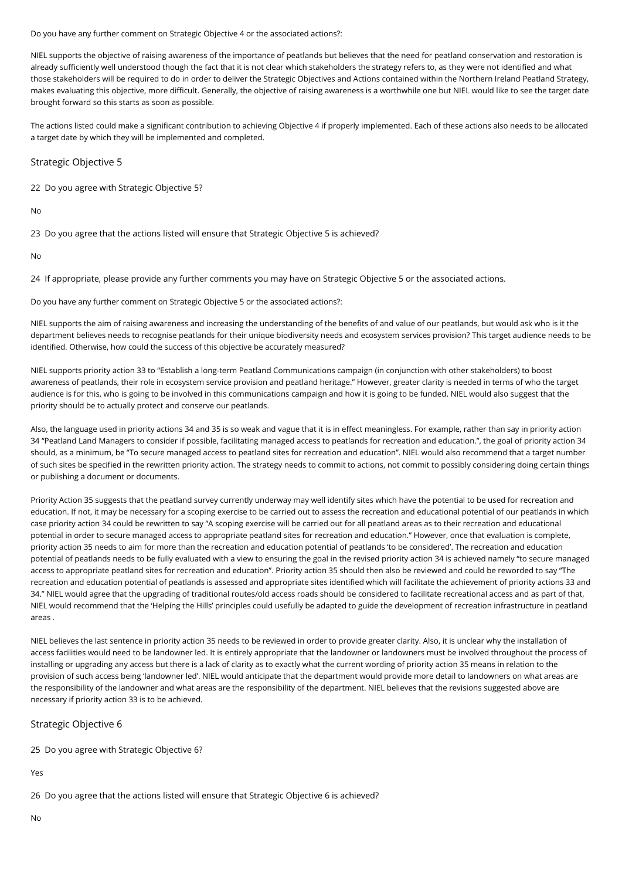Do you have any further comment on Strategic Objective 4 or the associated actions?:

NIEL supports the objective of raising awareness of the importance of peatlands but believes that the need for peatland conservation and restoration is already sufficiently well understood though the fact that it is not clear which stakeholders the strategy refers to, as they were not identified and what those stakeholders will be required to do in order to deliver the Strategic Objectives and Actions contained within the Northern Ireland Peatland Strategy, makes evaluating this objective, more difficult. Generally, the objective of raising awareness is a worthwhile one but NIEL would like to see the target date brought forward so this starts as soon as possible.

The actions listed could make a significant contribution to achieving Objective 4 if properly implemented. Each of these actions also needs to be allocated a target date by which they will be implemented and completed.

# Strategic Objective 5

22 Do you agree with Strategic Objective 5?

No

23 Do you agree that the actions listed will ensure that Strategic Objective 5 is achieved?

No

24 If appropriate, please provide any further comments you may have on Strategic Objective 5 or the associated actions.

Do you have any further comment on Strategic Objective 5 or the associated actions?:

NIEL supports the aim of raising awareness and increasing the understanding of the benefits of and value of our peatlands, but would ask who is it the department believes needs to recognise peatlands for their unique biodiversity needs and ecosystem services provision? This target audience needs to be identified. Otherwise, how could the success of this objective be accurately measured?

NIEL supports priority action 33 to "Establish a long-term Peatland Communications campaign (in conjunction with other stakeholders) to boost awareness of peatlands, their role in ecosystem service provision and peatland heritage." However, greater clarity is needed in terms of who the target audience is for this, who is going to be involved in this communications campaign and how it is going to be funded. NIEL would also suggest that the priority should be to actually protect and conserve our peatlands.

Also, the language used in priority actions 34 and 35 is so weak and vague that it is in effect meaningless. For example, rather than say in priority action 34 "Peatland Land Managers to consider if possible, facilitating managed access to peatlands for recreation and education.", the goal of priority action 34 should, as a minimum, be "To secure managed access to peatland sites for recreation and education". NIEL would also recommend that a target number of such sites be specified in the rewritten priority action. The strategy needs to commit to actions, not commit to possibly considering doing certain things or publishing a document or documents.

Priority Action 35 suggests that the peatland survey currently underway may well identify sites which have the potential to be used for recreation and education. If not, it may be necessary for a scoping exercise to be carried out to assess the recreation and educational potential of our peatlands in which case priority action 34 could be rewritten to say "A scoping exercise will be carried out for all peatland areas as to their recreation and educational potential in order to secure managed access to appropriate peatland sites for recreation and education." However, once that evaluation is complete, priority action 35 needs to aim for more than the recreation and education potential of peatlands 'to be considered'. The recreation and education potential of peatlands needs to be fully evaluated with a view to ensuring the goal in the revised priority action 34 is achieved namely "to secure managed access to appropriate peatland sites for recreation and education". Priority action 35 should then also be reviewed and could be reworded to say "The recreation and education potential of peatlands is assessed and appropriate sites identified which will facilitate the achievement of priority actions 33 and 34." NIEL would agree that the upgrading of traditional routes/old access roads should be considered to facilitate recreational access and as part of that, NIEL would recommend that the 'Helping the Hills' principles could usefully be adapted to guide the development of recreation infrastructure in peatland areas .

NIEL believes the last sentence in priority action 35 needs to be reviewed in order to provide greater clarity. Also, it is unclear why the installation of access facilities would need to be landowner led. It is entirely appropriate that the landowner or landowners must be involved throughout the process of installing or upgrading any access but there is a lack of clarity as to exactly what the current wording of priority action 35 means in relation to the provision of such access being 'landowner led'. NIEL would anticipate that the department would provide more detail to landowners on what areas are the responsibility of the landowner and what areas are the responsibility of the department. NIEL believes that the revisions suggested above are necessary if priority action 33 is to be achieved.

# Strategic Objective 6

25 Do you agree with Strategic Objective 6?

Yes

26 Do you agree that the actions listed will ensure that Strategic Objective 6 is achieved?